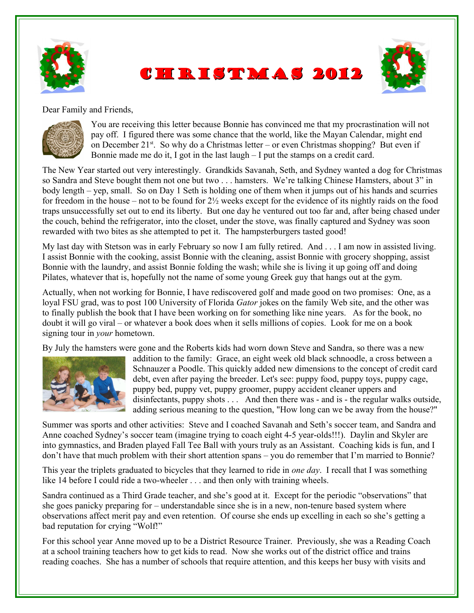





Dear Family and Friends,



You are receiving this letter because Bonnie has convinced me that my procrastination will not pay off. I figured there was some chance that the world, like the Mayan Calendar, might end on December  $21^{st}$ . So why do a Christmas letter – or even Christmas shopping? But even if Bonnie made me do it, I got in the last laugh – I put the stamps on a credit card.

The New Year started out very interestingly. Grandkids Savanah, Seth, and Sydney wanted a dog for Christmas so Sandra and Steve bought them not one but two . . . hamsters. We're talking Chinese Hamsters, about 3" in body length – yep, small. So on Day 1 Seth is holding one of them when it jumps out of his hands and scurries for freedom in the house – not to be found for  $2\frac{1}{2}$  weeks except for the evidence of its nightly raids on the food traps unsuccessfully set out to end its liberty. But one day he ventured out too far and, after being chased under the couch, behind the refrigerator, into the closet, under the stove, was finally captured and Sydney was soon rewarded with two bites as she attempted to pet it. The hampsterburgers tasted good!

My last day with Stetson was in early February so now I am fully retired. And . . . I am now in assisted living. I assist Bonnie with the cooking, assist Bonnie with the cleaning, assist Bonnie with grocery shopping, assist Bonnie with the laundry, and assist Bonnie folding the wash; while she is living it up going off and doing Pilates, whatever that is, hopefully not the name of some young Greek guy that hangs out at the gym.

Actually, when not working for Bonnie, I have rediscovered golf and made good on two promises: One, as a loyal FSU grad, was to post 100 University of Florida *Gator* jokes on the family Web site, and the other was to finally publish the book that I have been working on for something like nine years. As for the book, no doubt it will go viral – or whatever a book does when it sells millions of copies. Look for me on a book signing tour in *your* hometown.

By July the hamsters were gone and the Roberts kids had worn down Steve and Sandra, so there was a new



addition to the family: Grace, an eight week old black schnoodle, a cross between a Schnauzer a Poodle. This quickly added new dimensions to the concept of credit card debt, even after paying the breeder. Let's see: puppy food, puppy toys, puppy cage, puppy bed, puppy vet, puppy groomer, puppy accident cleaner uppers and disinfectants, puppy shots . . . And then there was - and is - the regular walks outside, adding serious meaning to the question, "How long can we be away from the house?"

Summer was sports and other activities: Steve and I coached Savanah and Seth's soccer team, and Sandra and Anne coached Sydney's soccer team (imagine trying to coach eight 4-5 year-olds!!!). Daylin and Skyler are into gymnastics, and Braden played Fall Tee Ball with yours truly as an Assistant. Coaching kids is fun, and I don't have that much problem with their short attention spans – you do remember that I'm married to Bonnie?

This year the triplets graduated to bicycles that they learned to ride in *one day*. I recall that I was something like 14 before I could ride a two-wheeler . . . and then only with training wheels.

Sandra continued as a Third Grade teacher, and she's good at it. Except for the periodic "observations" that she goes panicky preparing for – understandable since she is in a new, non-tenure based system where observations affect merit pay and even retention. Of course she ends up excelling in each so she's getting a bad reputation for crying "Wolf!"

For this school year Anne moved up to be a District Resource Trainer. Previously, she was a Reading Coach at a school training teachers how to get kids to read. Now she works out of the district office and trains reading coaches. She has a number of schools that require attention, and this keeps her busy with visits and